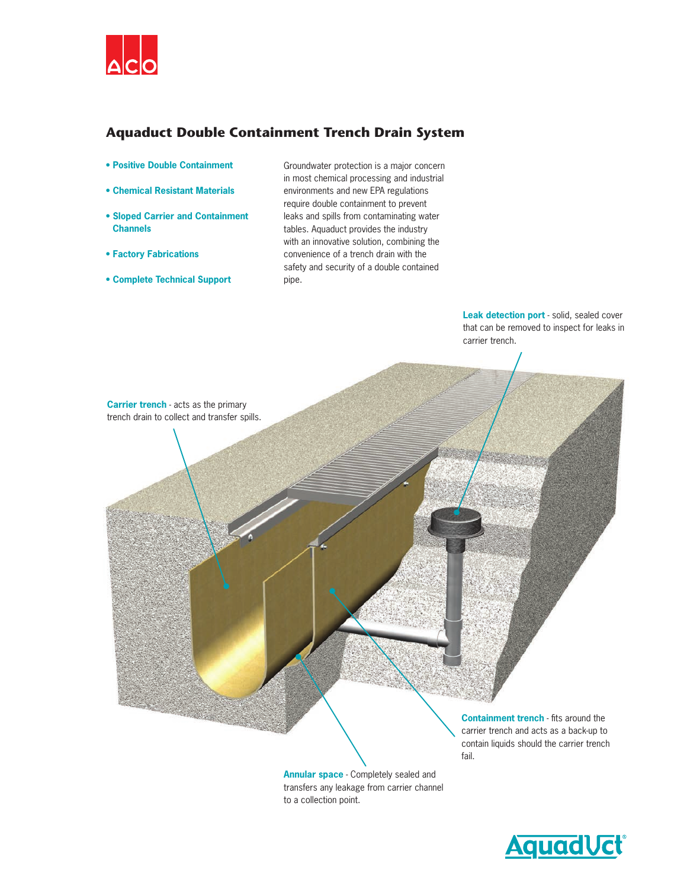

# **Aquaduct Double Containment Trench Drain System**

- **Positive Double Containment**
- **Chemical Resistant Materials**
- **Sloped Carrier and Containment Channels**
- **Factory Fabrications**
- **Complete Technical Support**

Groundwater protection is a major concern in most chemical processing and industrial environments and new EPA regulations require double containment to prevent leaks and spills from contaminating water tables. Aquaduct provides the industry with an innovative solution, combining the convenience of a trench drain with the safety and security of a double contained pipe.

> **Leak detection port** - solid, sealed cover that can be removed to inspect for leaks in carrier trench.



**Annular space** - Completely sealed and transfers any leakage from carrier channel to a collection point.

fail.